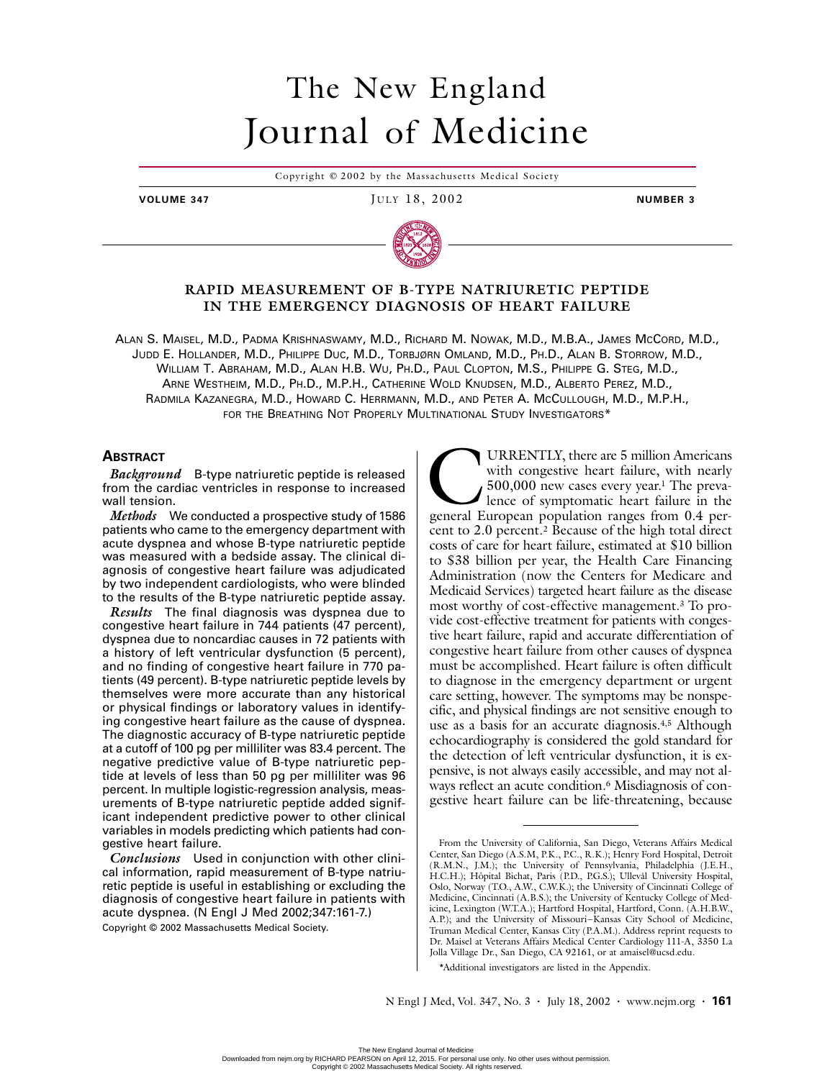# The New England Journal of Medicine

Copyright © 2002 by the Massachusetts Medical Society

**VOLUME 347 IVLY 18, 2002 NUMBER 3** 



# **RAPID MEASUREMENT OF B-TYPE NATRIURETIC PEPTIDE IN THE EMERGENCY DIAGNOSIS OF HEART FAILURE**

ALAN S. MAISEL, M.D., PADMA KRISHNASWAMY, M.D., RICHARD M. NOWAK, M.D., M.B.A., JAMES MCCORD, M.D., JUDD E. HOLLANDER, M.D., PHILIPPE DUC, M.D., TORBJØRN OMLAND, M.D., PH.D., ALAN B. STORROW, M.D., WILLIAM T. ABRAHAM, M.D., ALAN H.B. WU, PH.D., PAUL CLOPTON, M.S., PHILIPPE G. STEG, M.D., ARNE WESTHEIM, M.D., PH.D., M.P.H., CATHERINE WOLD KNUDSEN, M.D., ALBERTO PEREZ, M.D., RADMILA KAZANEGRA, M.D., HOWARD C. HERRMANN, M.D., AND PETER A. MCCULLOUGH, M.D., M.P.H., FOR THE BREATHING NOT PROPERLY MULTINATIONAL STUDY INVESTIGATORS\*

### **ABSTRACT**

*Background* B-type natriuretic peptide is released from the cardiac ventricles in response to increased wall tension.

*Methods* We conducted a prospective study of 1586 patients who came to the emergency department with acute dyspnea and whose B-type natriuretic peptide was measured with a bedside assay. The clinical diagnosis of congestive heart failure was adjudicated by two independent cardiologists, who were blinded to the results of the B-type natriuretic peptide assay.

*Results* The final diagnosis was dyspnea due to congestive heart failure in 744 patients (47 percent), dyspnea due to noncardiac causes in 72 patients with a history of left ventricular dysfunction (5 percent), and no finding of congestive heart failure in 770 patients (49 percent). B-type natriuretic peptide levels by themselves were more accurate than any historical or physical findings or laboratory values in identifying congestive heart failure as the cause of dyspnea. The diagnostic accuracy of B-type natriuretic peptide at a cutoff of 100 pg per milliliter was 83.4 percent. The negative predictive value of B-type natriuretic peptide at levels of less than 50 pg per milliliter was 96 percent. In multiple logistic-regression analysis, measurements of B-type natriuretic peptide added significant independent predictive power to other clinical variables in models predicting which patients had congestive heart failure.

*Conclusions* Used in conjunction with other clinical information, rapid measurement of B-type natriuretic peptide is useful in establishing or excluding the diagnosis of congestive heart failure in patients with acute dyspnea. (N Engl J Med 2002;347:161-7.) Copyright © 2002 Massachusetts Medical Society.

URRENTLY, there are 5 million Americans with congestive heart failure, with nearly 500,000 new cases every year.1 The prevalence of symptomatic heart failure in the URRENTLY, there are 5 million Americans<br>with congestive heart failure, with nearly<br>500,000 new cases every year.<sup>1</sup> The preva-<br>lence of symptomatic heart failure in the<br>general European population ranges from 0.4 percent to 2.0 percent.2 Because of the high total direct costs of care for heart failure, estimated at \$10 billion to \$38 billion per year, the Health Care Financing Administration (now the Centers for Medicare and Medicaid Services) targeted heart failure as the disease most worthy of cost-effective management.3 To provide cost-effective treatment for patients with congestive heart failure, rapid and accurate differentiation of congestive heart failure from other causes of dyspnea must be accomplished. Heart failure is often difficult to diagnose in the emergency department or urgent care setting, however. The symptoms may be nonspecific, and physical findings are not sensitive enough to use as a basis for an accurate diagnosis.4,5 Although echocardiography is considered the gold standard for the detection of left ventricular dysfunction, it is expensive, is not always easily accessible, and may not always reflect an acute condition.<sup>6</sup> Misdiagnosis of congestive heart failure can be life-threatening, because

N Engl J Med, Vol. 347, No. 3 **·** July 18, 2002 **·** www.nejm.org **· 161**

From the University of California, San Diego, Veterans Affairs Medical Center, San Diego (A.S.M, P.K., P.C., R.K.); Henry Ford Hospital, Detroit (R.M.N., J.M.); the University of Pennsylvania, Philadelphia (J.E.H., H.C.H.); Hôpital Bichat, Paris (P.D., P.G.S.); Ullevål University Hospital, Oslo, Norway (T.O., A.W., C.W.K.); the University of Cincinnati College of Medicine, Cincinnati (A.B.S.); the University of Kentucky College of Medicine, Lexington (W.T.A.); Hartford Hospital, Hartford, Conn. (A.H.B.W., A.P.); and the University of Missouri–Kansas City School of Medicine, Truman Medical Center, Kansas City (P.A.M.). Address reprint requests to Dr. Maisel at Veterans Affairs Medical Center Cardiology 111-A, 3350 La Jolla Village Dr., San Diego, CA 92161, or at amaisel@ucsd.edu.

<sup>\*</sup>Additional investigators are listed in the Appendix.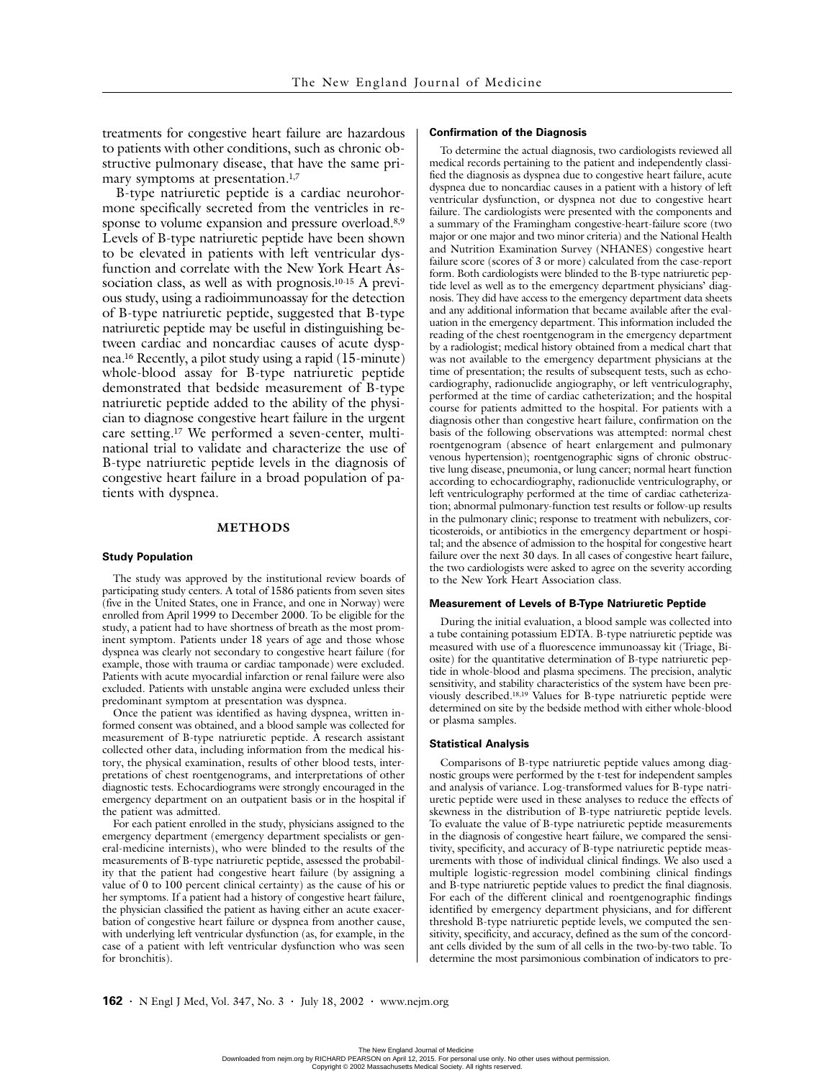treatments for congestive heart failure are hazardous to patients with other conditions, such as chronic obstructive pulmonary disease, that have the same primary symptoms at presentation.<sup>1,7</sup>

B-type natriuretic peptide is a cardiac neurohormone specifically secreted from the ventricles in response to volume expansion and pressure overload.<sup>8,9</sup> Levels of B-type natriuretic peptide have been shown to be elevated in patients with left ventricular dysfunction and correlate with the New York Heart Association class, as well as with prognosis.10-15 A previous study, using a radioimmunoassay for the detection of B-type natriuretic peptide, suggested that B-type natriuretic peptide may be useful in distinguishing between cardiac and noncardiac causes of acute dyspnea.16 Recently, a pilot study using a rapid (15-minute) whole-blood assay for B-type natriuretic peptide demonstrated that bedside measurement of B-type natriuretic peptide added to the ability of the physician to diagnose congestive heart failure in the urgent care setting.17 We performed a seven-center, multinational trial to validate and characterize the use of B-type natriuretic peptide levels in the diagnosis of congestive heart failure in a broad population of patients with dyspnea.

#### **METHODS**

#### **Study Population**

The study was approved by the institutional review boards of participating study centers. A total of 1586 patients from seven sites (five in the United States, one in France, and one in Norway) were enrolled from April 1999 to December 2000. To be eligible for the study, a patient had to have shortness of breath as the most prominent symptom. Patients under 18 years of age and those whose dyspnea was clearly not secondary to congestive heart failure (for example, those with trauma or cardiac tamponade) were excluded. Patients with acute myocardial infarction or renal failure were also excluded. Patients with unstable angina were excluded unless their predominant symptom at presentation was dyspnea.

Once the patient was identified as having dyspnea, written informed consent was obtained, and a blood sample was collected for measurement of B-type natriuretic peptide. A research assistant collected other data, including information from the medical history, the physical examination, results of other blood tests, interpretations of chest roentgenograms, and interpretations of other diagnostic tests. Echocardiograms were strongly encouraged in the emergency department on an outpatient basis or in the hospital if the patient was admitted.

For each patient enrolled in the study, physicians assigned to the emergency department (emergency department specialists or general-medicine internists), who were blinded to the results of the measurements of B-type natriuretic peptide, assessed the probability that the patient had congestive heart failure (by assigning a value of 0 to 100 percent clinical certainty) as the cause of his or her symptoms. If a patient had a history of congestive heart failure, the physician classified the patient as having either an acute exacerbation of congestive heart failure or dyspnea from another cause, with underlying left ventricular dysfunction (as, for example, in the case of a patient with left ventricular dysfunction who was seen for bronchitis).

#### **Confirmation of the Diagnosis**

To determine the actual diagnosis, two cardiologists reviewed all medical records pertaining to the patient and independently classified the diagnosis as dyspnea due to congestive heart failure, acute dyspnea due to noncardiac causes in a patient with a history of left ventricular dysfunction, or dyspnea not due to congestive heart failure. The cardiologists were presented with the components and a summary of the Framingham congestive-heart-failure score (two major or one major and two minor criteria) and the National Health and Nutrition Examination Survey (NHANES) congestive heart failure score (scores of 3 or more) calculated from the case-report form. Both cardiologists were blinded to the B-type natriuretic peptide level as well as to the emergency department physicians' diagnosis. They did have access to the emergency department data sheets and any additional information that became available after the evaluation in the emergency department. This information included the reading of the chest roentgenogram in the emergency department by a radiologist; medical history obtained from a medical chart that was not available to the emergency department physicians at the time of presentation; the results of subsequent tests, such as echocardiography, radionuclide angiography, or left ventriculography, performed at the time of cardiac catheterization; and the hospital course for patients admitted to the hospital. For patients with a diagnosis other than congestive heart failure, confirmation on the basis of the following observations was attempted: normal chest roentgenogram (absence of heart enlargement and pulmonary venous hypertension); roentgenographic signs of chronic obstructive lung disease, pneumonia, or lung cancer; normal heart function according to echocardiography, radionuclide ventriculography, or left ventriculography performed at the time of cardiac catheterization; abnormal pulmonary-function test results or follow-up results in the pulmonary clinic; response to treatment with nebulizers, corticosteroids, or antibiotics in the emergency department or hospital; and the absence of admission to the hospital for congestive heart failure over the next 30 days. In all cases of congestive heart failure, the two cardiologists were asked to agree on the severity according to the New York Heart Association class.

#### **Measurement of Levels of B-Type Natriuretic Peptide**

During the initial evaluation, a blood sample was collected into a tube containing potassium EDTA. B-type natriuretic peptide was measured with use of a fluorescence immunoassay kit (Triage, Biosite) for the quantitative determination of B-type natriuretic peptide in whole-blood and plasma specimens. The precision, analytic sensitivity, and stability characteristics of the system have been previously described.18,19 Values for B-type natriuretic peptide were determined on site by the bedside method with either whole-blood or plasma samples.

#### **Statistical Analysis**

Comparisons of B-type natriuretic peptide values among diagnostic groups were performed by the t-test for independent samples and analysis of variance. Log-transformed values for B-type natriuretic peptide were used in these analyses to reduce the effects of skewness in the distribution of B-type natriuretic peptide levels. To evaluate the value of B-type natriuretic peptide measurements in the diagnosis of congestive heart failure, we compared the sensitivity, specificity, and accuracy of B-type natriuretic peptide measurements with those of individual clinical findings. We also used a multiple logistic-regression model combining clinical findings and B-type natriuretic peptide values to predict the final diagnosis. For each of the different clinical and roentgenographic findings identified by emergency department physicians, and for different threshold B-type natriuretic peptide levels, we computed the sensitivity, specificity, and accuracy, defined as the sum of the concordant cells divided by the sum of all cells in the two-by-two table. To determine the most parsimonious combination of indicators to pre-

**162 ·** N Engl J Med, Vol. 347, No. 3 **·** July 18, 2002 **·** www.nejm.org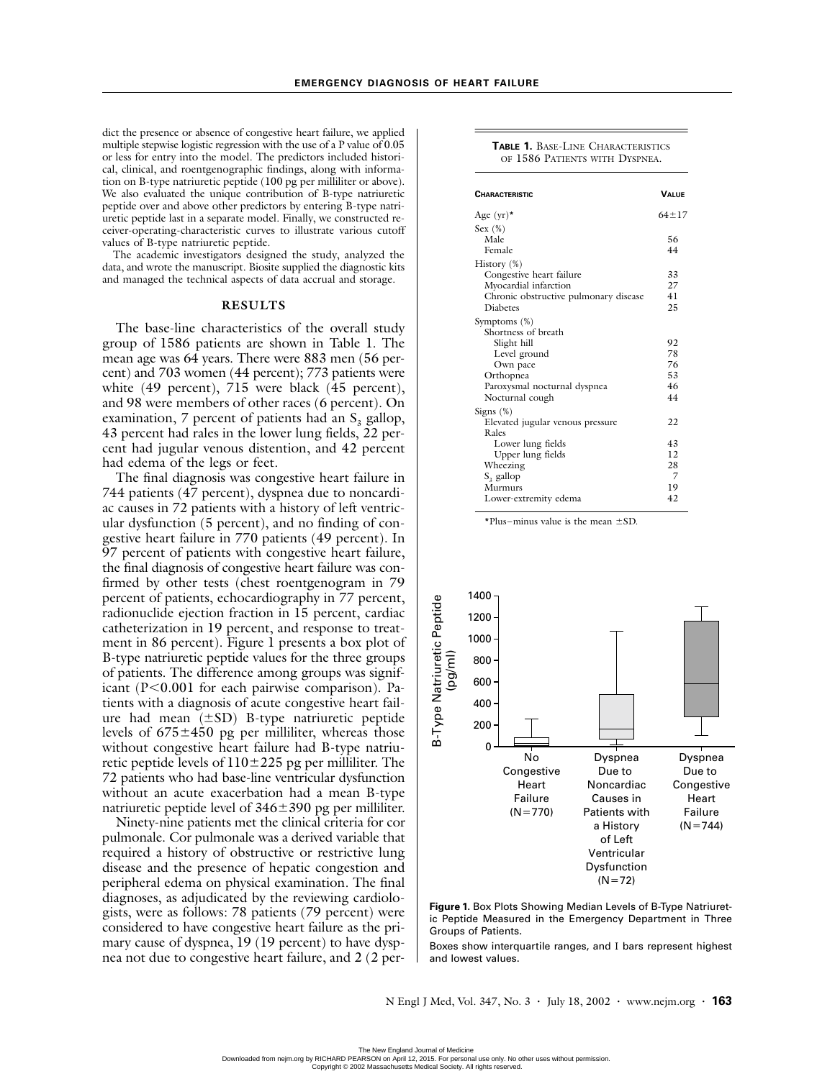dict the presence or absence of congestive heart failure, we applied multiple stepwise logistic regression with the use of a P value of 0.05 or less for entry into the model. The predictors included historical, clinical, and roentgenographic findings, along with information on B-type natriuretic peptide (100 pg per milliliter or above). We also evaluated the unique contribution of B-type natriuretic peptide over and above other predictors by entering B-type natriuretic peptide last in a separate model. Finally, we constructed receiver-operating-characteristic curves to illustrate various cutoff values of B-type natriuretic peptide.

The academic investigators designed the study, analyzed the data, and wrote the manuscript. Biosite supplied the diagnostic kits and managed the technical aspects of data accrual and storage.

#### **RESULTS**

The base-line characteristics of the overall study group of 1586 patients are shown in Table 1. The mean age was 64 years. There were 883 men (56 percent) and 703 women (44 percent); 773 patients were white (49 percent), 715 were black (45 percent), and 98 were members of other races (6 percent). On examination, 7 percent of patients had an  $S_3$  gallop, 43 percent had rales in the lower lung fields, 22 percent had jugular venous distention, and 42 percent had edema of the legs or feet.

The final diagnosis was congestive heart failure in 744 patients (47 percent), dyspnea due to noncardiac causes in 72 patients with a history of left ventricular dysfunction (5 percent), and no finding of congestive heart failure in 770 patients (49 percent). In 97 percent of patients with congestive heart failure, the final diagnosis of congestive heart failure was confirmed by other tests (chest roentgenogram in 79 percent of patients, echocardiography in 77 percent, radionuclide ejection fraction in 15 percent, cardiac catheterization in 19 percent, and response to treatment in 86 percent). Figure 1 presents a box plot of B-type natriuretic peptide values for the three groups of patients. The difference among groups was significant (P<0.001 for each pairwise comparison). Patients with a diagnosis of acute congestive heart failure had mean  $(\pm SD)$  B-type natriuretic peptide levels of  $675 \pm 450$  pg per milliliter, whereas those without congestive heart failure had B-type natriuretic peptide levels of  $110 \pm 225$  pg per milliliter. The 72 patients who had base-line ventricular dysfunction without an acute exacerbation had a mean B-type natriuretic peptide level of  $346 \pm 390$  pg per milliliter.

Ninety-nine patients met the clinical criteria for cor pulmonale. Cor pulmonale was a derived variable that required a history of obstructive or restrictive lung disease and the presence of hepatic congestion and peripheral edema on physical examination. The final diagnoses, as adjudicated by the reviewing cardiologists, were as follows: 78 patients (79 percent) were considered to have congestive heart failure as the primary cause of dyspnea, 19 (19 percent) to have dyspnea not due to congestive heart failure, and 2 (2 per-

#### **TABLE 1.** BASE-LINE CHARACTERISTICS OF 1586 PATIENTS WITH DYSPNEA.

| <b>CHARACTERISTIC</b>                 | <b>VALUE</b> |
|---------------------------------------|--------------|
| Age $(yr)^*$                          | $64 + 17$    |
| Sex (%)                               |              |
| Male                                  | 56           |
| Female                                | 44           |
| History (%)                           |              |
| Congestive heart failure              | 33           |
| Myocardial infarction                 | 27           |
| Chronic obstructive pulmonary disease | 41           |
| Diabetes                              | 25           |
| Symptoms $(\%)$                       |              |
| Shortness of breath                   |              |
| Slight hill                           | 92           |
| Level ground                          | 78           |
| Own pace                              | 76           |
| Orthopnea                             | 53           |
| Paroxysmal nocturnal dyspnea          | 46           |
| Nocturnal cough                       | 44           |
| Signs $(\%)$                          |              |
| Elevated jugular venous pressure      | 22           |
| Rales                                 |              |
| Lower lung fields                     | 43           |
| Upper lung fields                     | 12           |
| Wheezing                              | 28           |
| $S_3$ gallop                          | 7            |
| Murmurs                               | 19           |
| Lower-extremity edema                 | 42           |
|                                       |              |

\*Plus–minus value is the mean ±SD.



**Figure 1.** Box Plots Showing Median Levels of B-Type Natriuretic Peptide Measured in the Emergency Department in Three Groups of Patients.

Boxes show interquartile ranges, and I bars represent highest and lowest values.

N Engl J Med, Vol. 347, No. 3 **·** July 18, 2002 **·** www.nejm.org **· 163**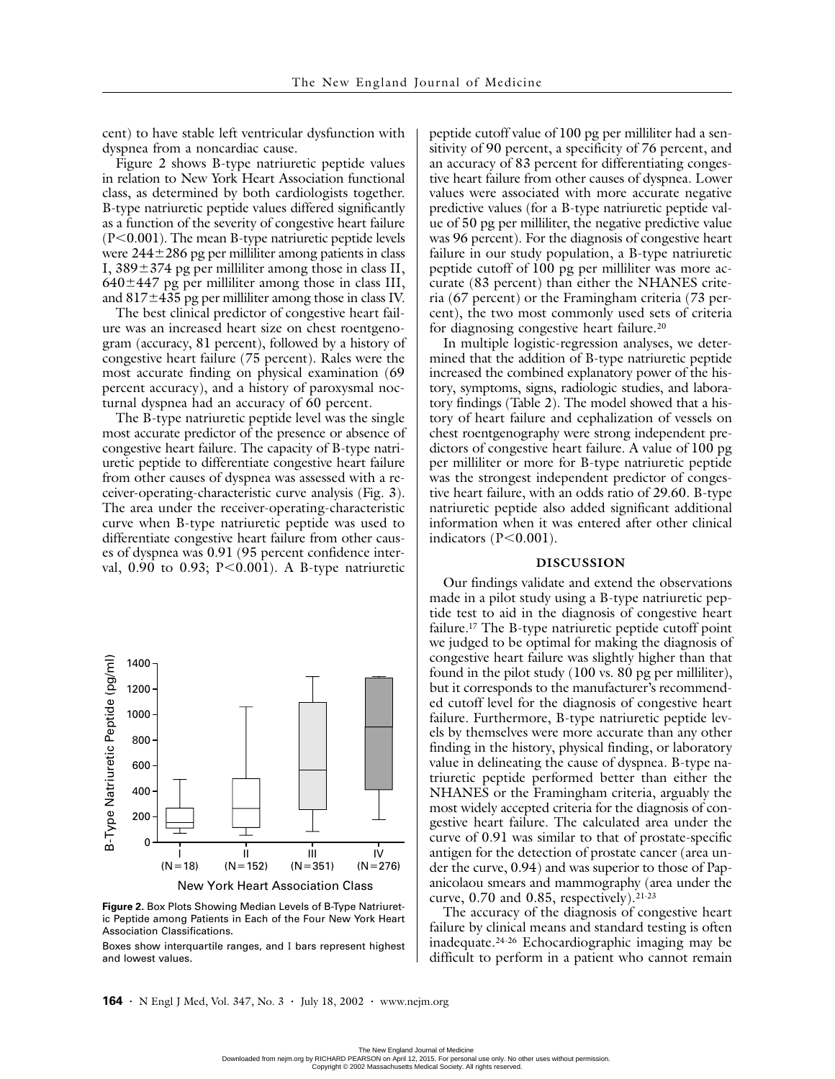cent) to have stable left ventricular dysfunction with dyspnea from a noncardiac cause.

Figure 2 shows B-type natriuretic peptide values in relation to New York Heart Association functional class, as determined by both cardiologists together. B-type natriuretic peptide values differed significantly as a function of the severity of congestive heart failure (P<0.001). The mean B-type natriuretic peptide levels were 244±286 pg per milliliter among patients in class I, 389±374 pg per milliliter among those in class II,  $640\pm447$  pg per milliliter among those in class III, and  $817\pm435$  pg per milliliter among those in class IV.

The best clinical predictor of congestive heart failure was an increased heart size on chest roentgenogram (accuracy, 81 percent), followed by a history of congestive heart failure (75 percent). Rales were the most accurate finding on physical examination (69 percent accuracy), and a history of paroxysmal nocturnal dyspnea had an accuracy of 60 percent.

The B-type natriuretic peptide level was the single most accurate predictor of the presence or absence of congestive heart failure. The capacity of B-type natriuretic peptide to differentiate congestive heart failure from other causes of dyspnea was assessed with a receiver-operating-characteristic curve analysis (Fig. 3). The area under the receiver-operating-characteristic curve when B-type natriuretic peptide was used to differentiate congestive heart failure from other causes of dyspnea was 0.91 (95 percent confidence interval, 0.90 to 0.93; P<0.001). A B-type natriuretic



**Figure 2.** Box Plots Showing Median Levels of B-Type Natriuretic Peptide among Patients in Each of the Four New York Heart Association Classifications.

Boxes show interquartile ranges, and I bars represent highest and lowest values.

**164 ·** N Engl J Med, Vol. 347, No. 3 **·** July 18, 2002 **·** www.nejm.org

peptide cutoff value of 100 pg per milliliter had a sensitivity of 90 percent, a specificity of 76 percent, and an accuracy of 83 percent for differentiating congestive heart failure from other causes of dyspnea. Lower values were associated with more accurate negative predictive values (for a B-type natriuretic peptide value of 50 pg per milliliter, the negative predictive value was 96 percent). For the diagnosis of congestive heart failure in our study population, a B-type natriuretic peptide cutoff of 100 pg per milliliter was more accurate (83 percent) than either the NHANES criteria (67 percent) or the Framingham criteria (73 percent), the two most commonly used sets of criteria for diagnosing congestive heart failure.20

In multiple logistic-regression analyses, we determined that the addition of B-type natriuretic peptide increased the combined explanatory power of the history, symptoms, signs, radiologic studies, and laboratory findings (Table 2). The model showed that a history of heart failure and cephalization of vessels on chest roentgenography were strong independent predictors of congestive heart failure. A value of 100 pg per milliliter or more for B-type natriuretic peptide was the strongest independent predictor of congestive heart failure, with an odds ratio of 29.60. B-type natriuretic peptide also added significant additional information when it was entered after other clinical indicators  $(P<0.001)$ .

## **DISCUSSION**

Our findings validate and extend the observations made in a pilot study using a B-type natriuretic peptide test to aid in the diagnosis of congestive heart failure.17 The B-type natriuretic peptide cutoff point we judged to be optimal for making the diagnosis of congestive heart failure was slightly higher than that found in the pilot study (100 vs. 80 pg per milliliter), but it corresponds to the manufacturer's recommended cutoff level for the diagnosis of congestive heart failure. Furthermore, B-type natriuretic peptide levels by themselves were more accurate than any other finding in the history, physical finding, or laboratory value in delineating the cause of dyspnea. B-type natriuretic peptide performed better than either the NHANES or the Framingham criteria, arguably the most widely accepted criteria for the diagnosis of congestive heart failure. The calculated area under the curve of 0.91 was similar to that of prostate-specific antigen for the detection of prostate cancer (area under the curve, 0.94) and was superior to those of Papanicolaou smears and mammography (area under the curve,  $0.70$  and  $0.85$ , respectively).<sup>21-23</sup>

The accuracy of the diagnosis of congestive heart failure by clinical means and standard testing is often inadequate.24-26 Echocardiographic imaging may be difficult to perform in a patient who cannot remain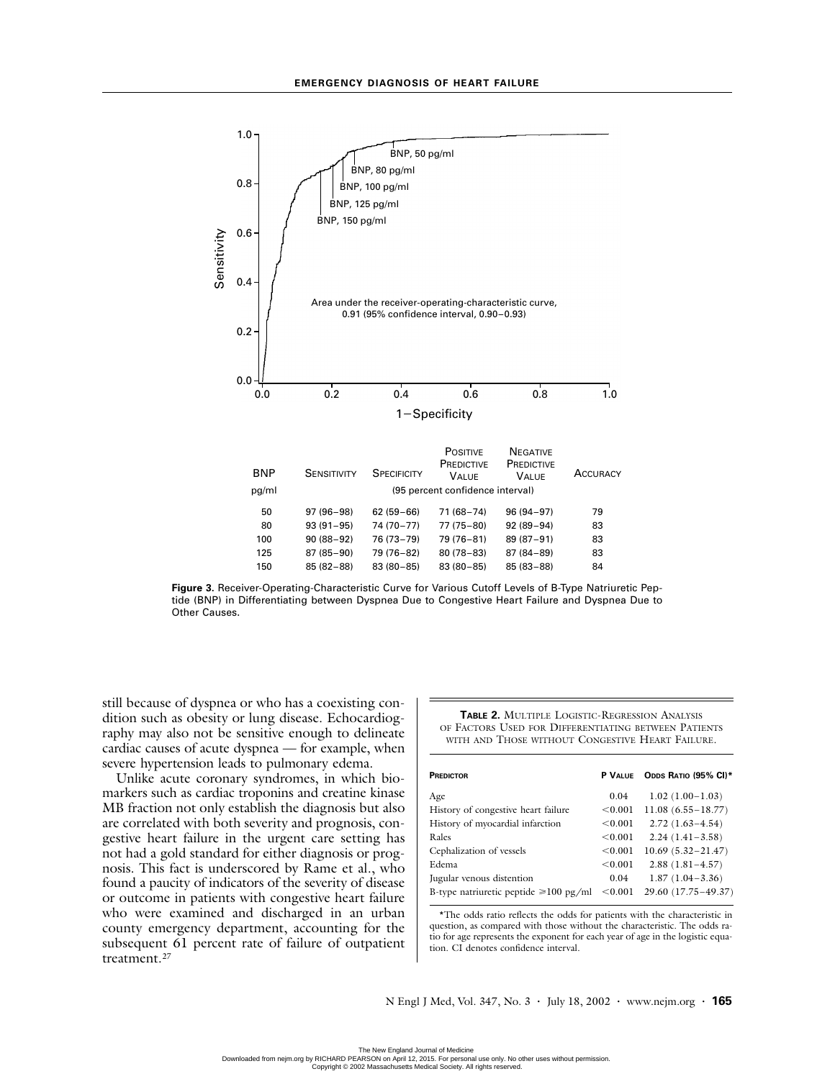

**Figure 3.** Receiver-Operating-Characteristic Curve for Various Cutoff Levels of B-Type Natriuretic Peptide (BNP) in Differentiating between Dyspnea Due to Congestive Heart Failure and Dyspnea Due to Other Causes.

still because of dyspnea or who has a coexisting condition such as obesity or lung disease. Echocardiography may also not be sensitive enough to delineate cardiac causes of acute dyspnea — for example, when severe hypertension leads to pulmonary edema.

Unlike acute coronary syndromes, in which biomarkers such as cardiac troponins and creatine kinase MB fraction not only establish the diagnosis but also are correlated with both severity and prognosis, congestive heart failure in the urgent care setting has not had a gold standard for either diagnosis or prognosis. This fact is underscored by Rame et al., who found a paucity of indicators of the severity of disease or outcome in patients with congestive heart failure who were examined and discharged in an urban county emergency department, accounting for the subsequent 61 percent rate of failure of outpatient treatment.<sup>27</sup>

**TABLE 2.** MULTIPLE LOGISTIC-REGRESSION ANALYSIS OF FACTORS USED FOR DIFFERENTIATING BETWEEN PATIENTS WITH AND THOSE WITHOUT CONGESTIVE HEART FAILURE.

| <b>PREDICTOR</b>                            | <b>P VALUE</b> | ODDS RATIO (95% CI)*  |
|---------------------------------------------|----------------|-----------------------|
| Age                                         | 0.04           | $1.02(1.00-1.03)$     |
| History of congestive heart failure         | < 0.001        | $11.08(6.55 - 18.77)$ |
| History of myocardial infarction            | < 0.001        | $2.72(1.63 - 4.54)$   |
| Rales                                       | < 0.001        | $2.24(1.41-3.58)$     |
| Cephalization of vessels                    | < 0.001        | $10.69(5.32 - 21.47)$ |
| Edema                                       | < 0.001        | $2.88(1.81 - 4.57)$   |
| Jugular venous distention                   | 0.04           | $1.87(1.04-3.36)$     |
| B-type natriuretic peptide $\geq 100$ pg/ml | < 0.001        | 29.60 (17.75-49.37)   |

\*The odds ratio reflects the odds for patients with the characteristic in question, as compared with those without the characteristic. The odds ratio for age represents the exponent for each year of age in the logistic equation. CI denotes confidence interval.

N Engl J Med, Vol. 347, No. 3 **·** July 18, 2002 **·** www.nejm.org **· 165**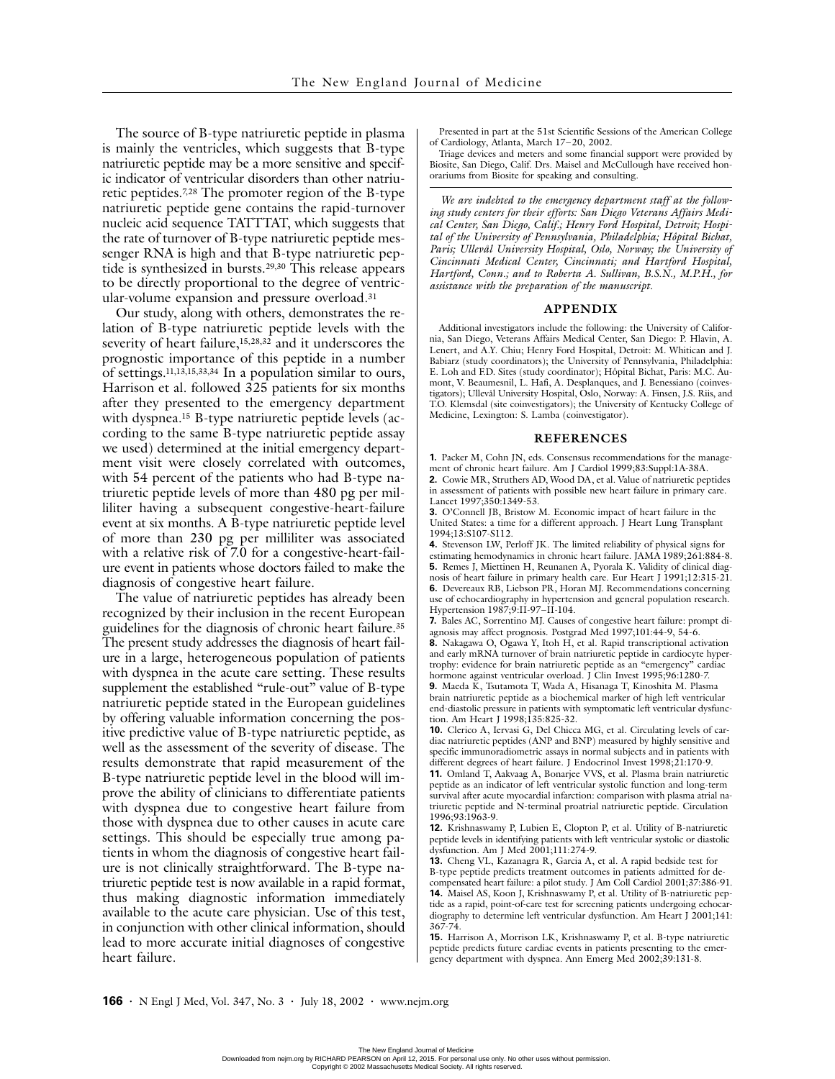The source of B-type natriuretic peptide in plasma is mainly the ventricles, which suggests that B-type natriuretic peptide may be a more sensitive and specific indicator of ventricular disorders than other natriuretic peptides.7,28 The promoter region of the B-type natriuretic peptide gene contains the rapid-turnover nucleic acid sequence TATTTAT, which suggests that the rate of turnover of B-type natriuretic peptide messenger RNA is high and that B-type natriuretic peptide is synthesized in bursts.29,30 This release appears to be directly proportional to the degree of ventricular-volume expansion and pressure overload.31

Our study, along with others, demonstrates the relation of B-type natriuretic peptide levels with the severity of heart failure,15,28,32 and it underscores the prognostic importance of this peptide in a number of settings.11,13,15,33,34 In a population similar to ours, Harrison et al. followed 325 patients for six months after they presented to the emergency department with dyspnea.15 B-type natriuretic peptide levels (according to the same B-type natriuretic peptide assay we used) determined at the initial emergency department visit were closely correlated with outcomes, with 54 percent of the patients who had B-type natriuretic peptide levels of more than 480 pg per milliliter having a subsequent congestive-heart-failure event at six months. A B-type natriuretic peptide level of more than 230 pg per milliliter was associated with a relative risk of 7.0 for a congestive-heart-failure event in patients whose doctors failed to make the diagnosis of congestive heart failure.

The value of natriuretic peptides has already been recognized by their inclusion in the recent European guidelines for the diagnosis of chronic heart failure.35 The present study addresses the diagnosis of heart failure in a large, heterogeneous population of patients with dyspnea in the acute care setting. These results supplement the established "rule-out" value of B-type natriuretic peptide stated in the European guidelines by offering valuable information concerning the positive predictive value of B-type natriuretic peptide, as well as the assessment of the severity of disease. The results demonstrate that rapid measurement of the B-type natriuretic peptide level in the blood will improve the ability of clinicians to differentiate patients with dyspnea due to congestive heart failure from those with dyspnea due to other causes in acute care settings. This should be especially true among patients in whom the diagnosis of congestive heart failure is not clinically straightforward. The B-type natriuretic peptide test is now available in a rapid format, thus making diagnostic information immediately available to the acute care physician. Use of this test, in conjunction with other clinical information, should lead to more accurate initial diagnoses of congestive heart failure.

Presented in part at the 51st Scientific Sessions of the American College of Cardiology, Atlanta, March 17–20, 2002.

Triage devices and meters and some financial support were provided by Biosite, San Diego, Calif. Drs. Maisel and McCullough have received honorariums from Biosite for speaking and consulting.

*We are indebted to the emergency department staff at the following study centers for their efforts: San Diego Veterans Affairs Medical Center, San Diego, Calif.; Henry Ford Hospital, Detroit; Hospital of the University of Pennsylvania, Philadelphia; Hôpital Bichat, Paris; Ullevål University Hospital, Oslo, Norway; the University of Cincinnati Medical Center, Cincinnati; and Hartford Hospital, Hartford, Conn.; and to Roberta A. Sullivan, B.S.N., M.P.H., for assistance with the preparation of the manuscript.*

#### **APPENDIX**

Additional investigators include the following: the University of California, San Diego, Veterans Affairs Medical Center, San Diego: P. Hlavin, A. Lenert, and A.Y. Chiu; Henry Ford Hospital, Detroit: M. Whitican and J. Babiarz (study coordinators); the University of Pennsylvania, Philadelphia: E. Loh and F.D. Sites (study coordinator); Hôpital Bichat, Paris: M.C. Aumont, V. Beaumesnil, L. Hafi, A. Desplanques, and J. Benessiano (coinvestigators); Ullevål University Hospital, Oslo, Norway: A. Finsen, J.S. Riis, and T.O. Klemsdal (site coinvestigators); the University of Kentucky College of Medicine, Lexington: S. Lamba (coinvestigator).

#### **REFERENCES**

**1.** Packer M, Cohn JN, eds. Consensus recommendations for the management of chronic heart failure. Am J Cardiol 1999;83:Suppl:1A-38A. **2.** Cowie MR, Struthers AD, Wood DA, et al. Value of natriuretic peptides in assessment of patients with possible new heart failure in primary care. Lancet 1997;350:1349-53.

**3.** O'Connell JB, Bristow M. Economic impact of heart failure in the United States: a time for a different approach. J Heart Lung Transplant 1994;13:S107-S112.

**4.** Stevenson LW, Perloff JK. The limited reliability of physical signs for estimating hemodynamics in chronic heart failure. JAMA 1989;261:884-8. **5.** Remes J, Miettinen H, Reunanen A, Pyorala K. Validity of clinical diag-

nosis of heart failure in primary health care. Eur Heart J 1991;12:315-21. **6.** Devereaux RB, Liebson PR, Horan MJ. Recommendations concerning use of echocardiography in hypertension and general population research. Hypertension 1987;9:II-97–II-104.

**7.** Bales AC, Sorrentino MJ. Causes of congestive heart failure: prompt diagnosis may affect prognosis. Postgrad Med 1997;101:44-9, 54-6.

**8.** Nakagawa O, Ogawa Y, Itoh H, et al. Rapid transcriptional activation and early mRNA turnover of brain natriuretic peptide in cardiocyte hypertrophy: evidence for brain natriuretic peptide as an "emergency" cardiac hormone against ventricular overload. J Clin Invest 1995;96:1280-7.

**9.** Maeda K, Tsutamota T, Wada A, Hisanaga T, Kinoshita M. Plasma brain natriuretic peptide as a biochemical marker of high left ventricular end-diastolic pressure in patients with symptomatic left ventricular dysfunction. Am Heart J 1998;135:825-32.

**10.** Clerico A, Iervasi G, Del Chicca MG, et al. Circulating levels of cardiac natriuretic peptides (ANP and BNP) measured by highly sensitive and specific immunoradiometric assays in normal subjects and in patients with different degrees of heart failure. J Endocrinol Invest 1998;21:170-9.

**11.** Omland T, Aakvaag A, Bonarjee VVS, et al. Plasma brain natriuretic peptide as an indicator of left ventricular systolic function and long-term survival after acute myocardial infarction: comparison with plasma atrial natriuretic peptide and N-terminal proatrial natriuretic peptide. Circulation 1996;93:1963-9.

**12.** Krishnaswamy P, Lubien E, Clopton P, et al. Utility of B-natriuretic peptide levels in identifying patients with left ventricular systolic or diastolic dysfunction. Am J Med 2001;111:274-9.

**13.** Cheng VL, Kazanagra R, Garcia A, et al. A rapid bedside test for B-type peptide predicts treatment outcomes in patients admitted for de-

compensated heart failure: a pilot study. J Am Coll Cardiol 2001;37:386-91. **14.** Maisel AS, Koon J, Krishnaswamy P, et al. Utility of B-natriuretic peptide as a rapid, point-of-care test for screening patients undergoing echocardiography to determine left ventricular dysfunction. Am Heart J 2001;141: 367-74.

**15.** Harrison A, Morrison LK, Krishnaswamy P, et al. B-type natriuretic peptide predicts future cardiac events in patients presenting to the emergency department with dyspnea. Ann Emerg Med 2002;39:131-8.

**166 ·** N Engl J Med, Vol. 347, No. 3 **·** July 18, 2002 **·** www.nejm.org